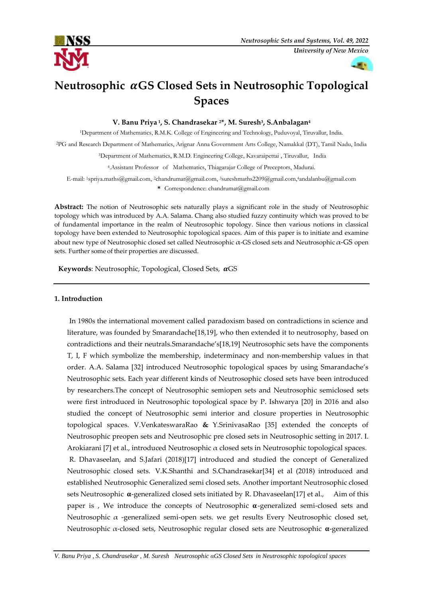



# **Neutrosophic GS Closed Sets in Neutrosophic Topological Spaces**

**V. Banu Priya <sup>1</sup> , S. Chandrasekar 2\*, M. Suresh<sup>3</sup> , S.Anbalagan<sup>4</sup>**

<sup>1</sup>Department of Mathematics, R.M.K. College of Engineering and Technology, Puduvoyal, Tiruvallur, India.

<sup>2</sup>PG and Research Department of Mathematics, Arignar Anna Government Arts College, Namakkal (DT), Tamil Nadu, India

<sup>3</sup>Department of Mathematics, R.M.D. Engineering College, Kavaraipettai , Tiruvallur, India

<sup>4</sup>.Assistant Professor of Mathematics, Thiagarajar College of Preceptors, Madurai.

E-mail: 1spriya.maths@gmail.com, <sup>2</sup>chandrumat@gmail.com, <sup>3</sup>sureshmaths2209@gmail.com, <sup>4</sup>andalanbu@gmail.com

**\*** Correspondence: chandrumat@gmail.com

**Abstract:** The notion of Neutrosophic sets naturally plays a significant role in the study of Neutrosophic topology which was introduced by A.A. Salama. Chang also studied fuzzy continuity which was proved to be of fundamental importance in the realm of Neutrosophic topology. Since then various notions in classical topology have been extended to Neutrosophic topological spaces. Aim of this paper is to initiate and examine about new type of Neutrosophic closed set called Neutrosophic  $α$ -GS closed sets and Neutrosophic  $α$ -GS open sets. Further some of their properties are discussed.

Keywords: Neutrosophic, Topological, Closed Sets,  $\alpha$ GS

#### **1. Introduction**

In 1980s the international movement called paradoxism based on contradictions in science and literature, was founded by Smarandache<sup>[18,19]</sup>, who then extended it to neutrosophy, based on contradictions and their neutrals.Smarandache's[18,19] Neutrosophic sets have the components T, I, F which symbolize the membership, indeterminacy and non-membership values in that order. A.A. Salama [32] introduced Neutrosophic topological spaces by using Smarandache's Neutrosophic sets. Each year different kinds of Neutrosophic closed sets have been introduced by researchers.The concept of Neutrosophic semiopen sets and Neutrosophic semiclosed sets were first introduced in Neutrosophic topological space by P. Ishwarya [20] in 2016 and also studied the concept of Neutrosophic semi interior and closure properties in Neutrosophic topological spaces. V.VenkateswaraRao **&** Y.SrinivasaRao [35] extended the concepts of Neutrosophic preopen sets and Neutrosophic pre closed sets in Neutrosophic setting in 2017. I. Arokiarani [7] et al., introduced Neutrosophic  $\alpha$  closed sets in Neutrosophic topological spaces. R. Dhavaseelan, and S.Jafari (2018)[17] introduced and studied the concept of Generalized Neutrosophic closed sets. V.K.Shanthi and S.Chandrasekar[34] et al (2018) introduced and established Neutrosophic Generalized semi closed sets. Another important Neutrosophic closed sets Neutrosophic  $\alpha$ -generalized closed sets initiated by R. Dhavaseelan[17] et al., Aim of this paper is , We introduce the concepts of Neutrosophic  $\alpha$ -generalized semi-closed sets and Neutrosophic  $α$  -generalized semi-open sets. we get results Every Neutrosophic closed set, Neutrosophic α-closed sets, Neutrosophic regular closed sets are Neutrosophic  $α$ -generalized

*V. Banu Priya , S. Chandrasekar , M. Suresh Neutrosophic αGS Closed Sets in Neutrosophic topological spaces*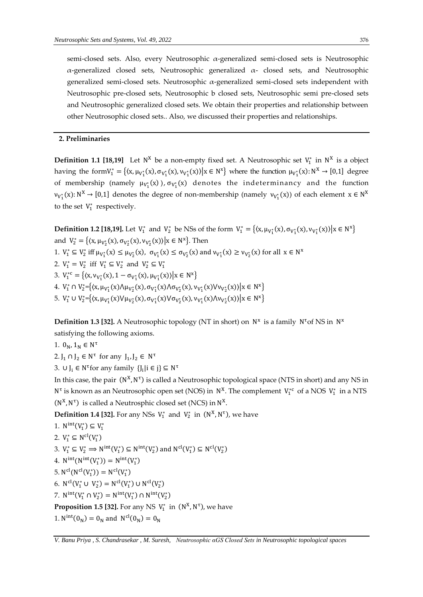semi-closed sets. Also, every Neutrosophic α-generalized semi-closed sets is Neutrosophic α-generalized closed sets, Neutrosophic generalized α- closed sets, and Neutrosophic generalized semi-closed sets. Neutrosophic  $\alpha$ -generalized semi-closed sets independent with Neutrosophic pre-closed sets, Neutrosophic b closed sets, Neutrosophic semi pre-closed sets and Neutrosophic generalized closed sets. We obtain their properties and relationship between other Neutrosophic closed sets.. Also, we discussed their properties and relationships.

#### **2. Preliminaries**

**Definition 1.1 [18,19]** Let  $N^X$  be a non-empty fixed set. A Neutrosophic set  $V_1^*$  in  $N^X$  is a object having the form  $V_1^* = \{(x, \mu_{V_1^*}(x), \sigma_{V_1^*}(x), \nu_{V_1^*}(x)) | x \in N^x \}$  where the function  $\mu_{V_1^*}(x): N^X \to [0,1]$  degree of membership (namely  $\mu_{V_1^*}(x)$ ),  $\sigma_{V_1^*}(x)$  denotes the indeterminancy and the function  $v_{V_1^*}(x)$ :  $N^X \to [0,1]$  denotes the degree of non-membership (namely  $v_{V_1^*}(x)$ ) of each element  $x \in N^X$ to the set  $V_1^*$  respectively.

**Definition 1.2 [18,19].** Let  $V_1^*$  and  $V_2^*$  be NSs of the form  $V_1^* = \{(x, \mu_{V_1^*}(x), \sigma_{V_1^*}(x), \nu_{V_1^*}(x)) | x \in N^x\}$ and  $V_2^* = \{(x, \mu_{V_2^*}(x), \sigma_{V_2^*}(x), \nu_{V_2^*}(x)) | x \in N^x\}$ . Then

- 1.  $V_1^* \subseteq V_2^*$  iff  $\mu_{V_1^*}(x) \le \mu_{V_2^*}(x)$ ,  $\sigma_{V_1^*}(x) \le \sigma_{V_2^*}(x)$  and  $\nu_{V_1^*}(x) \ge \nu_{V_2^*}(x)$  for all  $x \in N^x$
- 2.  $V_1^* = V_2^*$  iff  $V_1^* \subseteq V_2^*$  and  $V_2^* \subseteq V_1^*$
- 3.  $V_1^{*c} = \{(x, v_{V_1^*}(x), 1 \sigma_{V_1^*}(x), \mu_{V_1^*}(x)) | x \in N^x \}$
- 4.  $V_1^* \cap V_2^* = \{(x, \mu_{V_1^*}(x) \land \mu_{V_2^*}(x), \sigma_{V_1^*}(x) \land \sigma_{V_2^*}(x), \nu_{V_1^*}(x) \lor \nu_{V_2^*}(x)\} | x \in N^x \}$
- 5.  $V_1^* \cup V_2^* = \{(x, \mu_{V_1^*}(x) \lor \mu_{V_2^*}(x), \sigma_{V_1^*}(x) \lor \sigma_{V_2^*}(x), \nu_{V_1^*}(x) \land \nu_{V_2^*}(x)\} | x \in N^x\}$

**Definition 1.3 [32].** A Neutrosophic topology (NT in short) on N<sup>x</sup> is a family N<sup>t</sup> of NS in N<sup>x</sup> satisfying the following axioms.

1.  $0_N, 1_N \in N^{\tau}$ 

2.  $J_1 \cap J_2 \in N^{\tau}$  for any  $J_1, J_2 \in N^{\tau}$ 

3.  $\cup$   $J_i \in N^{\tau}$  for any family  $\{J_i | i \in j\} \subseteq N^{\tau}$ 

In this case, the pair  $(N^X, N^{\tau})$  is called a Neutrosophic topological space (NTS in short) and any NS in N<sup>t</sup> is known as an Neutrosophic open set (NOS) in  $N^X$ . The complement  $V_1^{*c}$  of a NOS  $V_1^*$  in a NTS  $(N^X, N^{\tau})$  is called a Neutrosphic closed set (NCS) in  $N^X$ .

**Definition 1.4 [32].** For any NSs  $V_1^*$  and  $V_2^*$  in  $(N^X, N^T)$ , we have

$$
1. N^{\text{int}}(V_1^*) \subseteq V_1^*
$$

$$
2. V_1^* \subseteq \mathrm{N}^{\mathrm{cl}}(V_1^*)
$$

3. 
$$
V_1^* \subseteq V_2^* \implies N^{\text{int}}(V_1^*) \subseteq N^{\text{int}}(V_2^*)
$$
 and  $N^{\text{cl}}(V_1^*) \subseteq N^{\text{cl}}(V_2^*)$ 

4.  $N^{\text{int}}(N^{\text{int}}(V_1^*)) = N^{\text{int}}(V_1^*)$ 

- 5.  $N^{cl}(N^{cl}(V_1^*)) = N^{cl}(V_1^*)$
- 6.  $N^{cl}(V_1^* \cup V_2^*) = N^{cl}(V_1^*) \cup N^{cl}(V_2^*)$
- 7.  $N^{int}(V_1^* \cap V_2^*) = N^{int}(V_1^*) \cap N^{int}(V_2^*)$

**Proposition 1.5 [32].** For any NS  $V_1^*$  in  $(N^X, N^{\tau})$ , we have

1.  $N^{int}(0_N) = 0_N$  and  $N^{cl}(0_N) = 0_N$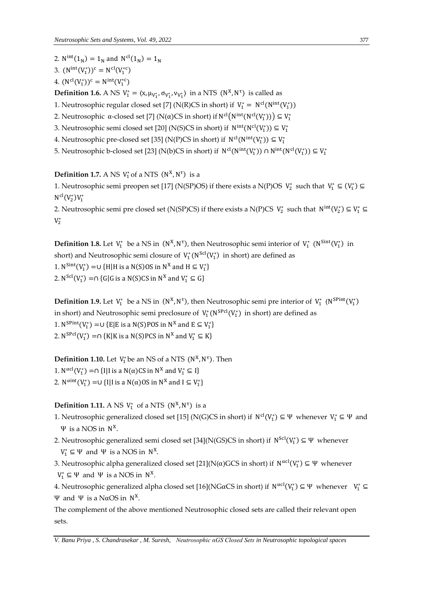2.  $N^{int}(1_N) = 1_N$  and  $N^{cl}(1_N) = 1_N$ 

- 3.  $(N<sup>int</sup>(V<sub>1</sub><sup>*</sup>))<sup>c</sup> = N<sup>cl</sup>(V<sub>1</sub><sup>*</sup><sup>c</sup>)$
- 4.  $(N^{cl}(V_1^*))^c = N^{int}(V_1^{*c})$

**Definition 1.6.** A NS  $V_1^* = \langle x, \mu_{V_1^*}, \sigma_{V_1^*}, \nu_{V_1^*} \rangle$  in a NTS  $(N^X, N^T)$  is called as

1. Neutrosophic regular closed set [7] (N(R)CS in short) if  $V_1^* = N^{cl}(N^{int}(V_1^*))$ 

- 2. Neutrosophic α-closed set [7] (N(α)CS in short) if N<sup>cl</sup>(N<sup>int</sup>(N<sup>cl</sup>(V<sub>1</sub><sup>\*</sup>))) ⊆ V<sub>1</sub><sup>\*</sup>
- 3. Neutrosophic semi closed set [20] (N(S)CS in short) if  $N<sup>int</sup>(N<sup>cl</sup>(V<sub>1</sub><sup>*</sup>)) \subseteq V<sub>1</sub><sup>*</sup>$
- 4. Neutrosophic pre-closed set [35] (N(P)CS in short) if  $N^{cl}(N^{int}(V_1^*)) \subseteq V_1^*$
- 5. Neutrosophic b-closed set [23] (N(b)CS in short) if  $N^{cl}(N^{int}(V_1^*)) \cap N^{int}(N^{cl}(V_1^*)) \subseteq V_1^*$

## **Definition 1.7.** A NS  $V_1^*$  of a NTS  $(N^X, N^T)$  is a

1. Neutrosophic semi preopen set [17] (N(SP)OS) if there exists a N(P)OS  $V_2^*$  such that  $V_1^* \subseteq (V_1^*)$  $N^{\text{cl}}(V_2^*)V_1^*$ 

2. Neutrosophic semi pre closed set (N(SP)CS) if there exists a N(P)CS  $V_2^*$  such that  $N^{int}(V_2^*) \subseteq V_1^* \subseteq$  $V_2^*$ 

**Definition 1.8.** Let  $V_1^*$  be a NS in  $(N^X, N^T)$ , then Neutrosophic semi interior of  $V_1^*$   $(N^{Sint}(V_1^*)$  in short) and Neutrosophic semi closure of  $\ V_1^*({\rm N}^{\rm Scl}(V_1^*)$  in short) are defined as 1.  $N^{Sint}(V_1^*) = U \{H | H \text{ is a N}(S) \text{OS in } N^X \text{ and } H \subseteq V_1^* \}$ 2.  $N^{Scl}(V_1^*) = \cap \{G|G \text{ is a } N(S)CS \text{ in } N^X \text{ and } V_1^* \subseteq G\}$ 

**Definition 1.9.** Let  $V_1^*$  be a NS in  $(N^X, N^{\tau})$ , then Neutrosophic semi pre interior of  $V_1^*$   $(N^{SPint}(V_1^*)$ in short) and Neutrosophic semi preclosure of  $\,V^*_1\,(\mathrm{N}^\mathrm{SPol}(V_1^*)\,$  in short) are defined as 1.  $N^{Split}(V_1^*) = \cup \{E|E \text{ is a N}(S)POS \text{ in } N^X \text{ and } E \subseteq V_1^*\}$ 2.  $N^{SPcl}(V_1^*) = \cap \{K | K \text{ is a } N(S) PCS \text{ in } N^X \text{ and } V_1^* \subseteq K\}$ 

**Definition 1.10.** Let  $V_1^*$  be an NS of a NTS  $(N^X, N^{\tau})$ . Then

1. N<sup>αcl</sup>(V<sub>1</sub><sup>\*</sup>) =∩ {I|I is a N(α)CS in N<sup>x</sup> and V<sub>1</sub><sup>\*</sup> ⊆ I}

2.  $N^{\text{aint}}(V_1^*) = \cup \{I | I \text{ is a } N(\alpha) \text{OS in } N^X \text{ and } I \subseteq V_1^*\}$ 

### **Definition 1.11.** A NS  $V_1^*$  of a NTS  $(N^X, N^T)$  is a

- 1. Neutrosophic generalized closed set [15] (N(G)CS in short) if  $N^{cl}(V_1^*) \subseteq \Psi$  whenever  $V_1^* \subseteq \Psi$  and Ψ is a NOS in N X .
- 2. Neutrosophic generalized semi closed set [34](N(GS)CS in short) if N<sup>Scl</sup>(V<sub>1</sub><sup>\*</sup>) ⊆ Ψ whenever  $V_1^* \subseteq \Psi$  and  $\Psi$  is a NOS in  $N^X$ .
- 3. Neutrosophic alpha generalized closed set [21](N( $\alpha$ )GCS in short) if  $N^{\alpha cl}(V_1^*) \subseteq \Psi$  whenever  $V_1^* \subseteq \Psi$  and  $\Psi$  is a NOS in  $N^X$ .

4. Neutrosophic generalized alpha closed set [16](NGαCS in short) if  $N^{\alpha cl}(V_1^*) \subseteq \Psi$  whenever  $V_1^* \subseteq$ Ψ and Ψ is a NαOS in  $N^X$ .

The complement of the above mentioned Neutrosophic closed sets are called their relevant open sets.

*V. Banu Priya , S. Chandrasekar , M. Suresh, Neutrosophic αGS Closed Sets in Neutrosophic topological spaces*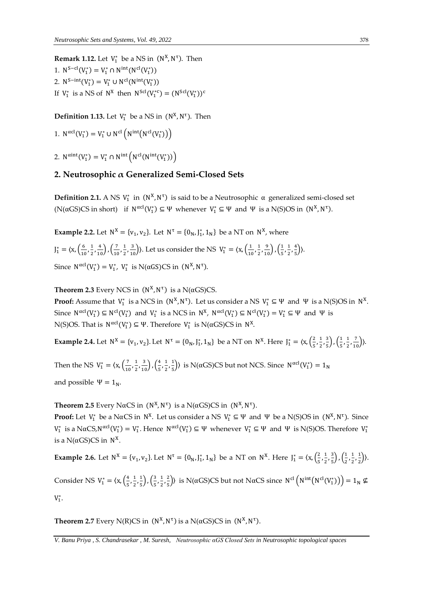**Remark 1.12.** Let  $V_1^*$  be a NS in  $(N^X, N^{\tau})$ . Then 1.  $N^{S-cl}(V_1^*) = V_1^* \cap N^{int}(N^{cl}(V_1^*))$ 2.  $N^{S-int}(V_1^*) = V_1^* \cup N^{cl}(N^{int}(V_1^*))$ If  $V_1^*$  is a NS of  $N^X$  then  $N^{Scl}(V_1^{*c}) = (N^{Scl}(V_1^*))^c$ 

**Definition 1.13.** Let  $V_1^*$  be a NS in  $(N^X, N^{\tau})$ . Then

1. 
$$
N^{\alpha cl}(V_1^*) = V_1^* \cup N^{cl}(N^{\text{int}}(N^{cl}(V_1^*))
$$

2.  $N^{\text{aint}}(V_1^*) = V_1^* \cap N^{\text{int}}(N^{\text{cl}}(N^{\text{int}}(V_1^*))$ 

## **2. Neutrosophic α Generalized Semi-Closed Sets**

**Definition 2.1.** A NS  $V_1^*$  in  $(N^X, N^T)$  is said to be a Neutrosophic  $\alpha$  generalized semi-closed set (N( $\alpha$ GS)CS in short) if  $N^{\alpha cl}(V_1^*) \subseteq \Psi$  whenever  $V_1^* \subseteq \Psi$  and  $\Psi$  is a N(S)OS in  $(N^X, N^{\tau})$ .

**Example 2.2.** Let  $N^X = \{v_1, v_2\}$ . Let  $N^{\tau} = \{0_N, J_1^*, 1_N\}$  be a NT on  $N^X$ , where

$$
J_1^* = \langle x, \left(\frac{6}{10}, \frac{1}{2}, \frac{4}{10}\right), \left(\frac{7}{10}, \frac{1}{2}, \frac{3}{10}\right) \rangle
$$
. Let us consider the NS  $V_1^* = \langle x, \left(\frac{1}{10}, \frac{1}{2}, \frac{9}{10}\right), \left(\frac{1}{5}, \frac{1}{2}, \frac{4}{5}\right) \rangle$ .  
Since  $N^{\alpha cl}(V_1^*) = V_1^*$ ,  $V_1^*$  is  $N(\alpha GS)CS$  in  $(N^X, N^T)$ .

**Theorem 2.3** Every NCS in  $(N^X, N^{\tau})$  is a N( $\alpha$ GS)CS.

**Proof:** Assume that  $V_1^*$  is a NCS in  $(N^X, N^T)$ . Let us consider a NS  $V_1^* \subseteq \Psi$  and  $\Psi$  is a N(S)OS in  $N^X$ . Since  $N^{\alpha cl}(V_1^*) \subseteq N^{\text{cl}}(V_1^*)$  and  $V_1^*$  is a NCS in  $N^X$ ,  $N^{\alpha cl}(V_1^*) \subseteq N^{\text{cl}}(V_1^*) = V_1^* \subseteq \Psi$  and  $\Psi$  is N(S)OS. That is  $N^{\alpha cl}(V_1^*)$  ⊆ Ψ. Therefore  $V_1^*$  is N(αGS)CS in  $N^X$ .

**Example 2.4.** Let  $N^X = \{v_1, v_2\}$ . Let  $N^{\tau} = \{0_N, J_1^*, 1_N\}$  be a NT on  $N^X$ . Here  $J_1^* = \langle x, (\frac{2}{5}, J_1^*, J_2^*, 1_N^*) \rangle$  $\frac{2}{5}$ ,  $\frac{1}{2}$  $\frac{1}{2}, \frac{3}{5}$  $\frac{3}{5}$ ,  $\left(\frac{1}{5}\right)$  $\frac{1}{5}, \frac{1}{2}$  $\frac{1}{2}, \frac{7}{10}$ ).

Then the NS  $V_1^* = \langle x, \left( \frac{7}{10} \right) \rangle$  $\frac{7}{10}$ ,  $\frac{1}{2}$  $\frac{1}{2}, \frac{3}{10}$ ,  $\left(\frac{4}{5}\right)$  $\frac{4}{5}$ ,  $\frac{1}{2}$  $\frac{1}{2}$ ,  $\frac{1}{5}$  $\frac{1}{5}$ ) is N(αGS)CS but not NCS. Since N<sup>αcl</sup>(V<sub>1</sub><sup>\*</sup>) = 1<sub>N</sub> and possible  $\Psi = 1_N$ .

**Theorem 2.5** Every NαCS in  $(N^X, N^{\tau})$  is a N(αGS)CS in  $(N^X, N^{\tau})$ .

**Proof:** Let  $V_1^*$  be a NαCS in  $N^X$ . Let us consider a NS  $V_1^* \subseteq \Psi$  and  $\Psi$  be a N(S)OS in  $(N^X, N^{\tau})$ . Since  $V_1^*$  is a NαCS,  $N^{\alpha cl}(V_1^*) = V_1^*$ . Hence  $N^{\alpha cl}(V_1^*) \subseteq \Psi$  whenever  $V_1^* \subseteq \Psi$  and  $\Psi$  is N(S)OS. Therefore  $V_1^*$ is a N(αGS)CS in  $N^X$ .

**Example 2.6.** Let  $N^X = \{v_1, v_2\}$ . Let  $N^{\tau} = \{0_N, J_1^*, 1_N\}$  be a NT on  $N^X$ . Here  $J_1^* = \langle x, (\frac{2}{5}, J_1^*, 1_N^*) \rangle$  $\frac{2}{5}$ ,  $\frac{1}{2}$  $\frac{1}{2}$ ,  $\frac{3}{5}$  $\frac{3}{5}$ ,  $\left(\frac{1}{2}\right)$  $\frac{1}{2}$ ,  $\frac{1}{2}$  $\frac{1}{2}$ ,  $\frac{1}{2}$  $\frac{1}{2}$ ) Consider NS  $V_1^* = \langle x, \left(\frac{4}{5}\right) \rangle$  $\frac{4}{5}$ ,  $\frac{1}{2}$  $\frac{1}{2}, \frac{1}{5}$  $\frac{1}{5}$ ,  $\left(\frac{3}{5}\right)$  $\frac{3}{5}, \frac{1}{2}$  $\frac{1}{2}$ ,  $\frac{2}{5}$  $\frac{2}{5}$ ) is N(αGS)CS but not NαCS since N<sup>cl</sup> (N<sup>int</sup>(N<sup>cl</sup>(V<sub>1</sub><sup>\*</sup>))) = 1<sub>N</sub> ⊈  $V_1^*$ .

**Theorem 2.7** Every N(R)CS in  $(N^X, N^{\tau})$  is a N( $\alpha$ GS)CS in  $(N^X, N^{\tau})$ .

*V. Banu Priya , S. Chandrasekar , M. Suresh, Neutrosophic αGS Closed Sets in Neutrosophic topological spaces*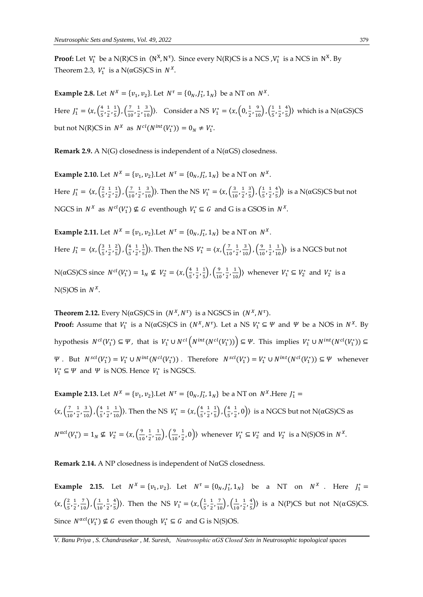**Proof:** Let  $V_1^*$  be a N(R)CS in  $(N^X, N^T)$ . Since every N(R)CS is a NCS , $V_1^*$  is a NCS in  $N^X$ . By Theorem 2.3,  $V_1^*$  is a N( $\alpha$ GS)CS in  $N^X$ .

**Example 2.8.** Let  $N^X = \{v_1, v_2\}$ . Let  $N^{\tau} = \{0_N, J_1^*, 1_N\}$  be a NT on  $N^X$ . Here  $J_1^* = \langle x, \left( \frac{4}{5} \right) \rangle$  $\frac{4}{5}$ ,  $\frac{1}{2}$  $\frac{1}{2}$ ,  $\frac{1}{5}$  $\frac{1}{5}$ ),  $\left(\frac{7}{10}\right)$  $\frac{7}{10}$ ,  $\frac{1}{2}$  $(\frac{1}{2}, \frac{3}{10})$ ). Consider a NS  $V_1^* = \langle x, \left(0, \frac{1}{2}\right) \rangle$  $\frac{1}{2}, \frac{9}{10}$ ,  $\left(\frac{1}{5}\right)$  $\frac{1}{5}, \frac{1}{2}$  $\frac{1}{2}$ ,  $\frac{4}{5}$  $\frac{4}{5}$ ) which is a N( $\alpha$ GS)CS but not N(R)CS in  $N^X$  as  $N^{cl}(N^{int}(V_1^*)) = 0_N \neq V_1^*$ .

**Remark 2.9.** A N(G) closedness is independent of a N( $\alpha$ GS) closedness.

**Example 2.10.** Let  $N^X = \{v_1, v_2\}$ . Let  $N^{\tau} = \{0_N, J_1^*, 1_N\}$  be a NT on  $N^X$ . Here  $J_1^* = \langle x, \left(\frac{2}{5}\right) \rangle$  $\frac{2}{5}$ ,  $\frac{1}{2}$  $\frac{1}{2}, \frac{1}{2}$  $\frac{1}{2}$ ),  $\left(\frac{7}{10}\right)$  $\frac{7}{10}$ ,  $\frac{1}{2}$  $(\frac{1}{2}, \frac{3}{10})$ ). Then the NS  $V_1^* = \langle x, (\frac{3}{10})\rangle$  $\frac{3}{10}$ ,  $\frac{1}{2}$  $\frac{1}{2}$ ,  $\frac{3}{5}$  $\frac{3}{5}$ ,  $\left(\frac{1}{5}\right)$  $\frac{1}{5}, \frac{1}{2}$  $\frac{1}{2}$ ,  $\frac{4}{5}$  $\left(\frac{4}{5}\right)$ ) is a N(αGS)CS but not NGCS in  $N^X$  as  $N^{cl}(V_1^*) \nsubseteq G$  eventhough  $V_1^* \subseteq G$  and G is a GSOS in  $N^X$ .

**Example 2.11.** Let  $N^X = \{v_1, v_2\}$ . Let  $N^{\tau} = \{0_N, J_1^*, 1_N\}$  be a NT on  $N^X$ . Here  $J_1^* = \langle x, \left(\frac{3}{5}\right) \rangle$  $\frac{3}{5}, \frac{1}{2}$  $\frac{1}{2}$ ,  $\frac{2}{5}$  $\left(\frac{2}{5}\right)$ ,  $\left(\frac{4}{5}\right)$  $\frac{4}{5}$ ,  $\frac{1}{2}$  $\frac{1}{2}, \frac{1}{5}$  $\left(\frac{1}{5}\right)$ ). Then the NS  $V_1^* = \langle x, \left(\frac{7}{10}\right)\rangle$  $\frac{7}{10}$ ,  $\frac{1}{2}$  $\frac{1}{2}, \frac{3}{10}$ ,  $\left(\frac{9}{10}\right)$  $\frac{9}{10}, \frac{1}{2}$  $\left(\frac{1}{2}, \frac{1}{10}\right)$  is a NGCS but not N(αGS)CS since  $N^{cl}(V_1^*) = 1_N$  ⊈  $V_2^* = \langle x, \left(\frac{4}{5}\right)$  $\frac{4}{5}$ ,  $\frac{1}{2}$  $\frac{1}{2}$ ,  $\frac{1}{5}$  $\frac{1}{5}$ ,  $\left(\frac{9}{10}\right)$  $\frac{9}{10}, \frac{1}{2}$  $\left(\frac{1}{2}, \frac{1}{10}\right)$  whenever  $V_1^* \subseteq V_2^*$  and  $V_2^*$  is a  $N(S)$ OS in  $N^X$ .

**Theorem 2.12.** Every N( $\alpha$ GS)CS in  $(N^X, N^{\tau})$  is a NGSCS in  $(N^X, N^{\tau})$ . **Proof:** Assume that  $V_1^*$  is a N( $\alpha$ GS)CS in  $(N^X, N^{\tau})$ . Let a NS  $V_1^* \subseteq \Psi$  and  $\Psi$  be a NOS in  $N^X$ . By hypothesis  $N^{cl}(V_1^*) \subseteq \Psi$ , that is  $V_1^* \cup N^{cl}(N^{int}(N^{cl}(V_1^*))$   $\subseteq \Psi$ . This implies  $V_1^* \cup N^{int}(N^{cl}(V_1^*))$   $\subseteq$  $\Psi$ . But  $N^{scl}(V_1^*) = V_1^* \cup N^{int}(N^{cl}(V_1^*))$ . Therefore  $N^{scl}(V_1^*) = V_1^* \cup N^{int}(N^{cl}(V_1^*)) \subseteq \Psi$  whenever  $V_1^* \subseteq \Psi$  and  $\Psi$  is NOS. Hence  $V_1^*$  is NGSCS.

**Example 2.13.** Let  $N^X = \{v_1, v_2\}$ . Let  $N^{\tau} = \{0_N, J_1^*, 1_N\}$  be a NT on  $N^X$ . Here  $J_1^* =$  $\langle x, \left( \frac{7}{10} \right)$  $\frac{7}{10}$ ,  $\frac{1}{2}$  $\frac{1}{2}, \frac{3}{10}$ ,  $\left(\frac{4}{5}\right)$  $\frac{4}{5}$ ,  $\frac{1}{2}$  $(\frac{1}{2}, \frac{1}{10})$ ). Then the NS  $V_1^* = \langle x, (\frac{4}{5}) \rangle$  $\frac{4}{5}$ ,  $\frac{1}{2}$  $\frac{1}{2}$ ,  $\frac{1}{5}$  $\frac{1}{5}$ ),  $\left(\frac{4}{5}\right)$  $\frac{4}{5}, \frac{1}{2}$  $(\frac{1}{2}, 0)$ ) is a NGCS but not N( $\alpha$ GS)CS as  $N^{\alpha c l}(V_1^*) = 1_N \nsubseteq V_2^* = \langle x, \left(\frac{9}{10}\right)^N \rangle$  $\frac{9}{10}$ ,  $\frac{1}{2}$  $\frac{1}{2}, \frac{1}{10}$ ,  $\left(\frac{9}{10}\right)$  $\frac{9}{10}$ ,  $\frac{1}{2}$  $(\frac{1}{2},0)$  whenever  $V_1^* \subseteq V_2^*$  and  $V_2^*$  is a N(S)OS in  $N^X$ .

**Remark 2.14.** A NP closedness is independent of NαGS closedness.

**Example 2.15.** Let  $N^X = \{v_1, v_2\}$ . Let  $N^{\tau} = \{0_N, J_1^*, 1_N\}$  be a NT on  $N^X$ . Here  $J_1^* =$  $\langle x, \left(\frac{2}{\pi}\right) \rangle$  $\frac{2}{5}$ ,  $\frac{1}{2}$  $\frac{1}{2}, \frac{7}{10}$ ,  $\left(\frac{1}{10}\right)$  $\frac{1}{10}$ ,  $\frac{1}{2}$  $\frac{1}{2}$ ,  $\frac{4}{5}$  $\left(\frac{4}{5}\right)$ ). Then the NS  $V_1^* = \langle x, \left(\frac{1}{5}\right) \rangle$  $\frac{1}{5}$ ,  $\frac{1}{2}$  $\frac{1}{2}, \frac{7}{10}$ ,  $\left(\frac{1}{10}\right)$  $\frac{1}{10}$ ,  $\frac{1}{2}$  $\frac{1}{2}$ ,  $\frac{4}{5}$  $\frac{4}{5}$ ) is a N(P)CS but not N( $\alpha$ GS)CS. Since  $N^{\alpha cl}(V_1^*) \nsubseteq G$  even though  $V_1^* \subseteq G$  and G is N(S)OS.

*V. Banu Priya , S. Chandrasekar , M. Suresh, Neutrosophic αGS Closed Sets in Neutrosophic topological spaces*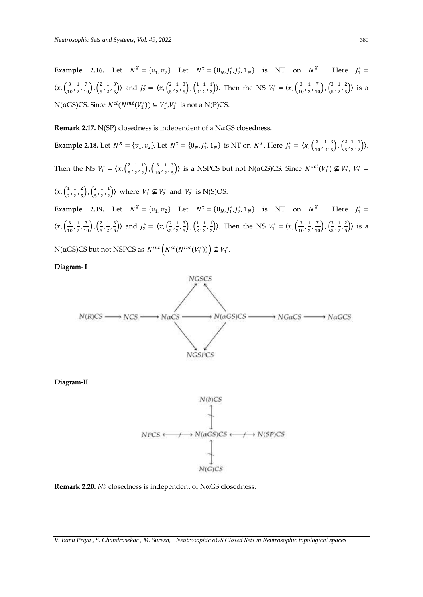**Example 2.16.** Let  $N^X = \{v_1, v_2\}$ . Let  $N^{\tau} = \{0_N, J_1^*, J_2^*, 1_N\}$  is NT on  $N^X$ . Here  $J_1^* =$  $\langle x, \left(\frac{3}{4}\right)$  $\frac{3}{10}, \frac{1}{2}$  $\frac{1}{2}, \frac{7}{10}$ ,  $\left(\frac{2}{5}\right)$  $\frac{2}{5}, \frac{1}{2}$  $\frac{1}{2}$ ,  $\frac{3}{5}$  $\left(\frac{3}{5}\right)$ ) and  $J_2^* = \langle x, \left(\frac{2}{5}\right)$  $\frac{2}{5}, \frac{1}{2}$  $\frac{1}{2}$ ,  $\frac{3}{5}$  $\frac{3}{5}$ ,  $\left(\frac{1}{2}\right)$  $\frac{1}{2}$ ,  $\frac{1}{2}$  $\frac{1}{2}, \frac{1}{2}$  $\left(\frac{1}{2}\right)$ ). Then the NS  $V_1^* = \langle x, \left(\frac{3}{10}\right)\rangle$  $\frac{3}{10}, \frac{1}{2}$  $\left(\frac{1}{2},\frac{7}{10}\right), \left(\frac{3}{5}\right)$  $\frac{3}{5}, \frac{1}{2}$  $\frac{1}{2}$ ,  $\frac{2}{5}$  $\frac{2}{5}$ ) is a N(αGS)CS. Since  $N^{cl}(N^{int}(V_1^*))$  ⊆  $V_1^*, V_1^*$  is not a N(P)CS.

**Remark 2.17.**  $N(SP)$  closedness is independent of a  $N\alpha$  GS closedness.

**Example 2.18.** Let  $N^X = \{v_1, v_2\}$ . Let  $N^{\tau} = \{0_N, J_1^*, 1_N\}$  is NT on  $N^X$ . Here  $J_1^* = \langle x, \frac{3}{100}\rangle$  $\frac{3}{10}, \frac{1}{2}$  $\frac{1}{2}$ ,  $\frac{3}{5}$  $\frac{3}{5}$ ,  $\left(\frac{2}{5}\right)$  $\frac{2}{5}$ ,  $\frac{1}{2}$  $\frac{1}{2}, \frac{1}{2}$  $\frac{1}{2})$ ). Then the NS  $V_1^* = \langle x, \left(\frac{2}{5}\right) \rangle$  $\frac{2}{5}, \frac{1}{2}$  $\frac{1}{2}, \frac{1}{2}$  $\frac{1}{2}$ ,  $\left(\frac{3}{10}\right)$  $\frac{3}{10}, \frac{1}{2}$  $\frac{1}{2}$ ,  $\frac{3}{5}$  $\frac{3}{5}$ ) is a NSPCS but not N(αGS)CS. Since  $N^{\alpha cl}(V_1^*) \nsubseteq V_2^*$ ,  $V_2^* =$  $\langle x, \left(\frac{1}{2}\right)$  $\frac{1}{2}, \frac{1}{2}$  $\frac{1}{2}$ ,  $\frac{2}{5}$  $\frac{2}{5}$ ),  $\left(\frac{2}{5}\right)$  $\frac{2}{5}$ ,  $\frac{1}{2}$  $\frac{1}{2}$ ,  $\frac{1}{2}$  $\left(\frac{1}{2}\right)$  where  $V_1^* \nsubseteq V_2^*$  and  $V_2^*$  is N(S)OS. **Example 2.19.** Let  $N^X = \{v_1, v_2\}$ . Let  $N^{\tau} = \{0_N, J_1^*, J_2^*, 1_N\}$  is NT on  $N^X$ . Here  $J_1^* =$  $\langle x, \left(\frac{3}{4}\right)$  $\frac{3}{10}, \frac{1}{2}$  $\frac{1}{2}, \frac{7}{10}$ ,  $\left(\frac{2}{5}\right)$  $\frac{2}{5}, \frac{1}{2}$  $\frac{1}{2}$ ,  $\frac{3}{5}$  $\left(\frac{3}{5}\right)$ ) and  $J_2^* = \langle x, \left(\frac{2}{5}\right)$  $\frac{2}{5}, \frac{1}{2}$  $\frac{1}{2}$ ,  $\frac{3}{5}$  $\frac{3}{5}$ ,  $\left(\frac{1}{2}\right)$  $\frac{1}{2}$ ,  $\frac{1}{2}$  $\frac{1}{2}, \frac{1}{2}$  $\left(\frac{1}{2}\right)$ ). Then the NS  $V_1^* = \langle x, \left(\frac{3}{10}\right)\rangle$  $\frac{3}{10}, \frac{1}{2}$  $\left(\frac{1}{2},\frac{7}{10}\right), \left(\frac{3}{5}\right)$  $\frac{3}{5}, \frac{1}{2}$  $\frac{1}{2}$ ,  $\frac{2}{5}$  $\frac{2}{5}$ ) is a

N(αGS)CS but not NSPCS as  $N^{int} (N^{cl}(N^{int}(V_1^*)) ) \nsubseteq V_1^*$ .

**Diagram-I**



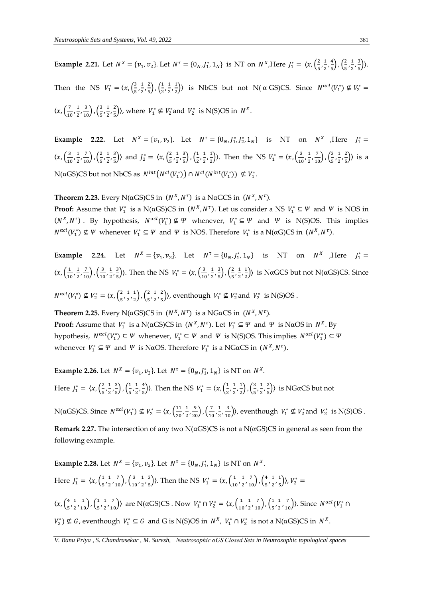**Example 2.21.** Let  $N^X = \{v_1, v_2\}$ . Let  $N^{\tau} = \{0_N, J_1^*, 1_N\}$  is NT on  $N^X$ , Here  $J_1^* = \langle x, (\frac{2}{5}, J_1^*, J_2^*, 1_N^*, J_3^*, J_4^*, J_5^*, J_6^*, J_7^*, J_8^*, J_9^*, J_9^*, J_1^*, J_1^*, J_2^*, J_1^*, J_3^*, J_1^*, J_2^*, J_3^*, J_4^*, J_4^*, J_5^*, J_6^*,$  $\frac{2}{5}, \frac{1}{2}$  $\frac{1}{2}$ ,  $\frac{4}{5}$  $\left(\frac{4}{5}\right)$ ,  $\left(\frac{2}{5}\right)$  $\frac{2}{5}$ ,  $\frac{1}{2}$  $\frac{1}{2}, \frac{3}{5}$  $\frac{3}{5}$ ). Then the NS  $V_1^* = \langle x, \left(\frac{3}{5}\right) \rangle$  $\frac{3}{5}, \frac{1}{2}$  $\frac{1}{2}$ ,  $\frac{2}{5}$  $\frac{2}{5}$ ,  $\left(\frac{1}{2}\right)$  $\frac{1}{2}, \frac{1}{2}$  $\frac{1}{2}, \frac{1}{2}$  $\frac{1}{2}$ ) is NbCS but not N(  $\alpha$  GS)CS. Since  $N^{\alpha cl}(V_1^*) \nsubseteq V_2^* =$  $\langle x, \left( \frac{7}{10} \right)$  $\frac{7}{10}$ ,  $\frac{1}{2}$  $\frac{1}{2}, \frac{3}{10}$ ,  $\left(\frac{3}{5}\right)$  $\frac{3}{5}, \frac{1}{2}$  $\frac{1}{2}$ ,  $\frac{2}{5}$  $\frac{2}{5}$ ), where  $V_1^* \nsubseteq V_2^*$  and  $V_2^*$  is N(S)OS in  $N^X$ .

**Example 2.22.** Let  $N^X = \{v_1, v_2\}$ . Let  $N^{\tau} = \{0_N, J_1^*, J_2^*, 1_N\}$  is NT on  $N^X$  , Here  $J_1^* =$  $\langle x, \left(\frac{3}{4}\right)$  $\frac{3}{10}, \frac{1}{2}$  $\frac{1}{2}, \frac{7}{10}$ ,  $\left(\frac{2}{5}\right)$  $\frac{2}{5}, \frac{1}{2}$  $\frac{1}{2}$ ,  $\frac{3}{5}$  $\left(\frac{3}{5}\right)$ ) and  $J_2^* = \langle x, \left(\frac{2}{5}\right)$  $\frac{2}{5}, \frac{1}{2}$  $\frac{1}{2}$ ,  $\frac{3}{5}$  $\frac{3}{5}$ ,  $\left(\frac{1}{2}\right)$  $\frac{1}{2}$ ,  $\frac{1}{2}$  $\frac{1}{2}, \frac{1}{2}$  $\left(\frac{1}{2}\right)$ ). Then the NS  $V_1^* = \langle x, \left(\frac{3}{10}\right)\rangle$  $\frac{3}{10}, \frac{1}{2}$  $\left(\frac{1}{2},\frac{7}{10}\right), \left(\frac{3}{5}\right)$  $\frac{3}{5}, \frac{1}{2}$  $\frac{1}{2}$ ,  $\frac{2}{5}$  $\frac{2}{5}$ ) is a N(αGS)CS but not NbCS as  $N^{int}(N^{cl}(V_1^*)) \cap N^{cl}(N^{int}(V_1^*)) \nsubseteq V_1^*$ .

**Theorem 2.23.** Every N( $\alpha$ GS)CS in  $(N^X, N^{\tau})$  is a N $\alpha$ GCS in  $(N^X, N^{\tau})$ .

**Proof:** Assume that  $V_1^*$  is a N( $\alpha$ GS)CS in  $(N^X, N^{\tau})$ . Let us consider a NS  $V_1^* \subseteq \Psi$  and  $\Psi$  is NOS in  $(N^X, N^{\tau})$ . By hypothesis,  $N^{\alpha c l}(V_1^*) \nsubseteq \Psi$  whenever,  $V_1^* \subseteq \Psi$  and  $\Psi$  is N(S)OS. This implies  $N^{\alpha cl}(V_1^*) \nsubseteq \Psi$  whenever  $V_1^* \subseteq \Psi$  and  $\Psi$  is NOS. Therefore  $V_1^*$  is a N( $\alpha G$ )CS in  $(N^X, N^{\tau})$ .

**Example 2.24.** Let  $N^X = \{v_1, v_2\}$ . Let  $N^{\tau} = \{0_N, J_1^*, 1_N\}$  is NT on  $N^X$  , Here  $J_1^* =$  $\langle x, \left( \frac{1}{\lambda} \right)$  $\frac{1}{10}$ ,  $\frac{1}{2}$  $\frac{1}{2}, \frac{7}{10}$ ,  $\left(\frac{3}{10}\right)$  $\frac{3}{10}$ ,  $\frac{1}{2}$  $\frac{1}{2}$ ,  $\frac{3}{5}$  $(\frac{3}{5})$ ). Then the NS  $V_1^* = \langle x, (\frac{3}{10})\rangle$  $\frac{3}{10}$ ,  $\frac{1}{2}$  $\frac{1}{2}$ ,  $\frac{3}{5}$  $\frac{3}{5}$ ,  $\left(\frac{2}{5}\right)$  $\frac{2}{5}, \frac{1}{2}$  $\frac{1}{2}$ ,  $\frac{1}{2}$  $\frac{1}{2}$ ) is NαGCS but not N(αGS)CS. Since

 $N^{\alpha c l} (V_1^*) \nsubseteq V_2^* = \langle x, \left(\frac{2}{5}\right) \rangle$  $\frac{2}{5}, \frac{1}{2}$  $\frac{1}{2}, \frac{1}{2}$  $\frac{1}{2}$ ),  $\left(\frac{2}{5}\right)$  $\frac{2}{5}$ ,  $\frac{1}{2}$  $\frac{1}{2}$ ,  $\frac{2}{5}$  $\frac{2}{5}$ )), eventhough  $V_1^* \nsubseteq V_2^*$  and  $V_2^*$  is N(S)OS.

**Theorem 2.25.** Every N( $\alpha$ GS)CS in  $(N^X, N^{\tau})$  is a NG $\alpha$ CS in  $(N^X, N^{\tau})$ . **Proof:** Assume that  $V_1^*$  is a N( $\alpha$ GS)CS in  $(N^X, N^{\tau})$ . Let  $V_1^* \subseteq \Psi$  and  $\Psi$  is N $\alpha$ OS in  $N^X$ . By hypothesis,  $N^{\alpha cl}(V_1^*) \subseteq \Psi$  whenever,  $V_1^* \subseteq \Psi$  and  $\Psi$  is N(S)OS. This implies  $N^{\alpha cl}(V_1^*) \subseteq \Psi$ whenever  $V_1^* \subseteq \Psi$  and  $\Psi$  is NαOS. Therefore  $V_1^*$  is a NGαCS in  $(N^X, N^{\tau})$ .

**Example 2.26.** Let  $N^X = \{v_1, v_2\}$ . Let  $N^{\tau} = \{0_N, J_1^*, 1_N\}$  is NT on  $N^X$ .

Here  $J_1^* = \langle x, \left(\frac{2}{5}\right) \rangle$  $\frac{2}{5}, \frac{1}{2}$  $\frac{1}{2}$ ,  $\frac{3}{5}$  $\frac{3}{5}$ ),  $\left(\frac{1}{5}\right)$  $\frac{1}{5}, \frac{1}{2}$  $\frac{1}{2}$ ,  $\frac{4}{5}$  $\left(\frac{4}{5}\right)$ ). Then the NS  $V_1^* = \langle x, \left(\frac{1}{2}\right)\rangle$  $\frac{1}{2}$ ,  $\frac{1}{2}$  $\frac{1}{2}, \frac{1}{2}$  $\frac{1}{2}$ ),  $\left(\frac{3}{5}\right)$  $\frac{3}{5}, \frac{1}{2}$  $\frac{1}{2}$ ,  $\frac{2}{5}$  $\frac{2}{5}$ ) is NGαCS but not

N( $\alpha$ GS)CS. Since  $N^{\alpha cl}(V_1^*) \nsubseteq V_2^* = \langle x, \left(\frac{11}{20}\right)$  $\frac{11}{20}$ ,  $\frac{1}{2}$  $\frac{1}{2}, \frac{9}{20}$ ,  $\left(\frac{7}{10}\right)$  $\frac{7}{10}$ ,  $\frac{1}{2}$  $\left(\frac{1}{2}, \frac{3}{10}\right)$ , eventhough  $V_1^* \nsubseteq V_2^*$  and  $V_2^*$  is N(S)OS.

**Remark 2.27.** The intersection of any two N(αGS)CS is not a N(αGS)CS in general as seen from the following example.

**Example 2.28.** Let  $N^X = \{v_1, v_2\}$ . Let  $N^{\tau} = \{0_N, J_1^*, 1_N\}$  is NT on  $N^X$ . Here  $J_1^* = \langle x, \left(\frac{1}{5}\right) \rangle$  $\frac{1}{5}, \frac{1}{2}$  $\frac{1}{2}, \frac{7}{10}$ ,  $\left(\frac{3}{10}\right)$  $\frac{3}{10}, \frac{1}{2}$  $\frac{1}{2}$ ,  $\frac{3}{5}$  $\left(\frac{3}{5}\right)$ ). Then the NS  $V_1^* = \langle x, \left(\frac{1}{10}\right)^2 \rangle$  $\frac{1}{10}, \frac{1}{2}$  $\left(\frac{1}{2},\frac{7}{10}\right), \left(\frac{4}{5}\right)$  $\frac{4}{5}, \frac{1}{2}$  $\frac{1}{2}, \frac{1}{5}$  $(\frac{1}{5})$ ,  $V_2^* =$  $\langle x, \left(\frac{4}{5}\right) \rangle$  $\frac{4}{5}$ ,  $\frac{1}{2}$  $\frac{1}{2}, \frac{1}{10}$ ,  $\left(\frac{1}{5}\right)$  $\frac{1}{5}$ ,  $\frac{1}{2}$  $(\frac{1}{2}, \frac{7}{10})$ ) are N(αGS)CS . Now  $V_1^* \cap V_2^* = \langle x, (\frac{1}{10}) \rangle$  $\frac{1}{10}$ ,  $\frac{1}{2}$  $\left(\frac{1}{2},\frac{7}{10}\right), \left(\frac{1}{5}\right)$  $\frac{1}{5}$ ,  $\frac{1}{2}$  $\left(\frac{1}{2}, \frac{7}{10}\right)$ ). Since  $N^{\alpha c l} (V_1^* \cap$  $V_2^*$ ) ⊈ *G*, eventhough  $V_1^*$  ⊆ *G* and *G* is N(S)OS in  $N^X$ ,  $V_1^*$  ∩  $V_2^*$  is not a N(αGS)CS in  $N^X$ .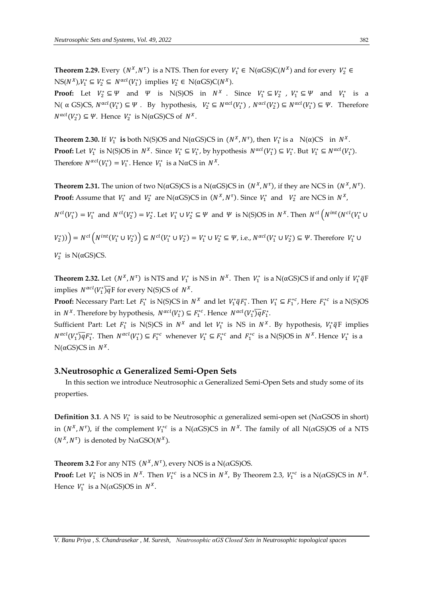**Theorem 2.29.** Every  $(N^X, N^{\tau})$  is a NTS. Then for every  $V_1^* \in N(\alpha GS)C(N^X)$  and for every  $V_2^* \in$  $NS(N^X), V_1^* \subseteq V_2^* \subseteq N^{\alpha cl}(V_1^*)$  implies  $V_2^* \in N(\alpha GS)C(N^X)$ .

**Proof:** Let  $V_2^* \subseteq \Psi$  and  $\Psi$  is N(S)OS in  $N^X$ . Since  $V_1^* \subseteq V_2^*$ ,  $V_1^* \subseteq \Psi$  and  $V_1^*$  is a N( α GS)CS,  $N^{\alpha cl}(V_1^*) \subseteq \Psi$ . By hypothesis,  $V_2^* \subseteq N^{\alpha cl}(V_1^*)$ ,  $N^{\alpha cl}(V_2^*) \subseteq N^{\alpha cl}(V_1^*) \subseteq \Psi$ . Therefore  $N^{\alpha cl}(V_2^*) \subseteq \Psi$ . Hence  $V_2^*$  is N( $\alpha$ GS)CS of  $N^X$ .

**Theorem 2.30. If**  $V_1^*$  **is both N(S)OS and N(** $\alpha$ **GS)CS in**  $(N^X, N^{\tau})$ **, then**  $V_1^*$  **is a**  $N(\alpha)$ **CS in**  $N^X$ **. Proof:** Let  $V_1^*$  is N(S)OS in  $N^X$ . Since  $V_1^* \subseteq V_1^*$ , by hypothesis  $N^{\alpha cl}(V_1^*) \subseteq V_1^*$ . But  $V_1^* \subseteq N^{\alpha cl}(V_1^*)$ . Therefore  $N^{\alpha c l}(V_1^*) = V_1^*$ . Hence  $V_1^*$  is a NαCS in  $N^X$ .

**Theorem 2.31.** The union of two N( $\alpha$ GS)CS is a N( $\alpha$ GS)CS in ( $N^X, N^{\tau}$ ), if they are NCS in ( $N^X, N^{\tau}$ ). **Proof:** Assume that  $V_1^*$  and  $V_2^*$  are N( $\alpha$ GS)CS in  $(N^X, N^{\tau})$ . Since  $V_1^*$  and  $V_2^*$  are NCS in  $N^X$ ,

 $N^{cl}(V_1^*)=V_1^*$  and  $N^{cl}(V_2^*)=V_2^*.$  Let  $V_1^*\cup V_2^*\subseteq \Psi$  and  $\Psi$  is N(S)OS in  $N^X.$  Then  $N^{cl}(N^{int}(N^{cl}(V_1^*\cup V_2^*))$ 

$$
V_2^*)\big)\bigg) = N^{cl} \left( N^{int} (V_1^* \cup V_2^*) \right) \subseteq N^{cl} (V_1^* \cup V_2^*) = V_1^* \cup V_2^* \subseteq \Psi, \text{ i.e., } N^{acl} (V_1^* \cup V_2^*) \subseteq \Psi. \text{ Therefore } V_1^* \cup V_2^* \text{ is N}(CCS)CS
$$

 $V_2^*$  is N( $\alpha$ GS)CS.

**Theorem 2.32.** Let  $(N^X, N^{\tau})$  is NTS and  $V_1^*$  is NS in  $N^X$ . Then  $V_1^*$  is a N( $\alpha$ GS)CS if and only if  $V_1^* \bar{q}$ F implies  $N^{\alpha cl}(V_1^*)\overline{q}F$  for every N(S)CS of  $N^X$ .

**Proof:** Necessary Part: Let  $F_1^*$  is N(S)CS in  $N^X$  and let  $V_1^* \bar{q} F_1^*$ . Then  $V_1^* \subseteq F_1^{*c}$ , Here  $F_1^{*c}$  is a N(S)OS in  $N^X$ . Therefore by hypothesis,  $N^{acl}(V_1^*) \subseteq F_1^{*c}$ . Hence  $N^{acl}(V_1^*)\overline{q}F_1^*$ .

Sufficient Part: Let  $F_1^*$  is N(S)CS in  $N^X$  and let  $V_1^*$  is NS in  $N^X$ . By hypothesis,  $V_1^* \bar{q}$ F implies  $N^{acl}(V_1^*)\overline{q}F_1^*$ . Then  $N^{acl}(V_1^*) \subseteq F_1^{*c}$  whenever  $V_1^* \subseteq F_1^{*c}$  and  $F_1^{*c}$  is a N(S)OS in  $N^X$ . Hence  $V_1^*$  is a  $N(αGS)CS$  in  $N^X$ .

## **3.Neutrosophic α Generalized Semi-Open Sets**

In this section we introduce Neutrosophic  $\alpha$  Generalized Semi-Open Sets and study some of its properties.

**Definition 3.1**. A NS  $V_1^*$  is said to be Neutrosophic  $\alpha$  generalized semi-open set (N $\alpha$ GSOS in short) in  $(N^X, N^{\tau})$ , if the complement  $V_1^{*c}$  is a N( $\alpha$ GS)CS in  $N^X$ . The family of all N( $\alpha$ GS)OS of a NTS  $(N^X, N^\tau)$  is denoted by N $\alpha$ GSO( $N^X$ ).

**Theorem 3.2** For any NTS  $(N^X, N^{\tau})$ , every NOS is a N( $\alpha$ GS)OS.

**Proof:** Let  $V_1^*$  is NOS in  $N^X$ . Then  $V_1^{*c}$  is a NCS in  $N^X$ , By Theorem 2.3,  $V_1^{*c}$  is a N( $\alpha$ GS)CS in  $N^X$ . Hence  $V_1^*$  is a N( $\alpha$ GS)OS in  $N^X$ .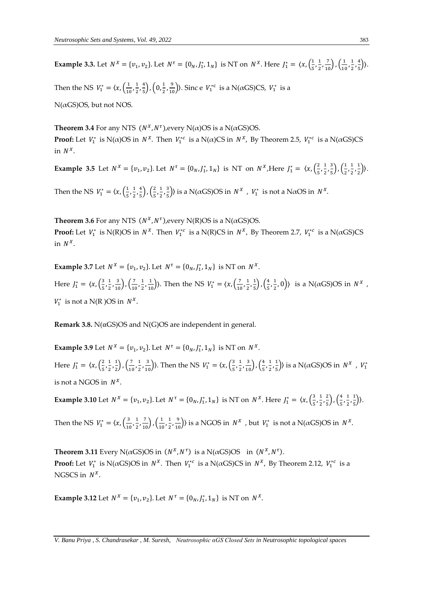**Example 3.3.** Let  $N^X = \{v_1, v_2\}$ . Let  $N^{\tau} = \{0_N, J_1^*, 1_N\}$  is NT on  $N^X$ . Here  $J_1^* = \langle x, (\frac{1}{5}, J_1^*, 1_N), (1, J_1^*, 1_N)\rangle$  $\frac{1}{5}, \frac{1}{2}$  $\frac{1}{2}, \frac{7}{10}$ ,  $\left(\frac{1}{10}\right)$  $\frac{1}{10}, \frac{1}{2}$  $\frac{1}{2}$ ,  $\frac{4}{5}$  $\frac{4}{5}$ ).

Then the NS  $V_1^* = \langle x, \left( \frac{1}{10} \right) \rangle$  $\frac{1}{10}$ ,  $\frac{1}{2}$  $\frac{1}{2}$ ,  $\frac{4}{5}$  $\frac{4}{5}$ ,  $\left(0, \frac{1}{2}\right)$  $\left(\frac{1}{2}, \frac{9}{10}\right)$ ). Sinc e  $V_1^{*c}$  is a N( $\alpha$ GS)CS,  $V_1^*$  is a  $N(\alpha$ GS)OS, but not NOS.

**Theorem 3.4** For any NTS  $(N^X, N^{\tau})$ , every N( $\alpha$ )OS is a N( $\alpha$ GS)OS. **Proof:** Let  $V_1^*$  is  $N(\alpha)$ OS in  $N^X$ . Then  $V_1^{*c}$  is a  $N(\alpha)$ CS in  $N^X$ , By Theorem 2.5,  $V_1^{*c}$  is a  $N(\alpha$ GS)CS in  $N^X$ .

**Example 3.5** Let = {<sup>1</sup> , <sup>2</sup> }. Let = {0,<sup>1</sup> ∗ , 1} is NT on ,Here <sup>1</sup> <sup>∗</sup> = 〈, ( 2  $\frac{2}{5}$ ,  $\frac{1}{2}$  $\frac{1}{2}$ ,  $\frac{3}{5}$  $\frac{3}{5}$ ,  $\left(\frac{1}{2}\right)$  $\frac{1}{2}, \frac{1}{2}$  $\frac{1}{2}$ ,  $\frac{1}{2}$  $\frac{1}{2}$ ).

Then the NS  $V_1^* = \langle x, \left(\frac{1}{5}\right) \rangle$  $\frac{1}{5}$ ,  $\frac{1}{2}$  $\frac{1}{2}$ ,  $\frac{4}{5}$  $\frac{4}{5}$ ,  $\left(\frac{2}{5}\right)$  $\frac{2}{5}, \frac{1}{2}$  $\frac{1}{2}$ ,  $\frac{3}{5}$  $\frac{3}{5}$ ) is a N( $\alpha$ GS)OS in  $N^X$ ,  $V_1^*$  is not a N $\alpha$ OS in  $N^X$ .

**Theorem 3.6** For any NTS  $(N^X, N^{\tau})$ , every N(R)OS is a N( $\alpha$ GS)OS. **Proof:** Let  $V_1^*$  is N(R)OS in  $N^X$ . Then  $V_1^{*c}$  is a N(R)CS in  $N^X$ , By Theorem 2.7,  $V_1^{*c}$  is a N( $\alpha$ GS)CS in  $N^X$ .

**Example 3.7** Let  $N^X = \{v_1, v_2\}$ . Let  $N^{\tau} = \{0_N, J_1^*, 1_N\}$  is NT on  $N^X$ . Here  $J_1^* = \langle x, \left(\frac{3}{5}\right) \rangle$  $\frac{3}{5}, \frac{1}{2}$  $\left(\frac{1}{2},\frac{3}{10}\right), \left(\frac{7}{10}\right)$  $\frac{7}{10}$ ,  $\frac{1}{2}$  $(\frac{1}{2}, \frac{1}{10})$ ). Then the NS  $V_1^* = \langle x, (\frac{7}{10})\rangle$  $\frac{7}{10}$ ,  $\frac{1}{2}$  $\frac{1}{2}$ ,  $\frac{1}{5}$  $\frac{1}{5}$ ),  $\left(\frac{4}{5}\right)$  $\frac{4}{5}$ ,  $\frac{1}{2}$  $\left(\frac{1}{2},0\right)$  is a N( $\alpha$ GS)OS in  $N^X$ ,  $V_1^*$  is not a N(R)OS in  $N^X$ .

**Remark 3.8.** N(αGS)OS and N(G)OS are independent in general.

**Example 3.9** Let  $N^X = \{v_1, v_2\}$ . Let  $N^{\tau} = \{0_N, J_1^*, 1_N\}$  is NT on  $N^X$ . Here  $J_1^* = \langle x, \left(\frac{2}{5}\right) \rangle$  $\frac{2}{5}$ ,  $\frac{1}{2}$  $\frac{1}{2}$ ,  $\frac{1}{2}$  $\frac{1}{2}$ ),  $\left(\frac{7}{10}\right)$  $\frac{7}{10}$ ,  $\frac{1}{2}$  $(\frac{1}{2}, \frac{3}{10})$ ). Then the NS  $V_1^* = \langle x, (\frac{3}{5}) \rangle$  $\frac{3}{5}, \frac{1}{2}$  $\left(\frac{1}{2},\frac{3}{10}\right), \left(\frac{4}{5}\right)$  $\frac{4}{5}$ ,  $\frac{1}{2}$  $\frac{1}{2}$ ,  $\frac{1}{5}$  $(\frac{1}{5})$ ) is a N( $\alpha$ GS)OS in  $N^X$ ,  $V_1^*$ is not a NGOS in  $N^X$ .

**Example 3.10** Let  $N^X = \{v_1, v_2\}$ . Let  $N^{\tau} = \{0_N, J_1^*, 1_N\}$  is NT on  $N^X$ . Here  $J_1^* = \langle x, (\frac{3}{5}, J_1^*, J_2^*, 1_N^*) \rangle$  $\frac{3}{5}, \frac{1}{2}$  $\frac{1}{2}$ ,  $\frac{2}{5}$  $\left(\frac{2}{5}\right)$ ,  $\left(\frac{4}{5}\right)$  $\frac{4}{5}$ ,  $\frac{1}{2}$  $\frac{1}{2}$ ,  $\frac{1}{5}$  $\frac{1}{5}$ ).

Then the NS  $V_1^* = \langle x, \left(\frac{3}{10}\right)^2 \rangle$  $\frac{3}{10}, \frac{1}{2}$  $\frac{1}{2}, \frac{7}{10}$ ,  $\left(\frac{1}{10}\right)$  $\frac{1}{10}$ ,  $\frac{1}{2}$  $\left(\frac{1}{2}, \frac{9}{10}\right)$ ) is a NGOS in  $N^X$ , but  $V_1^*$  is not a N( $\alpha$ GS)OS in  $N^X$ .

**Theorem 3.11** Every N( $\alpha$ GS)OS in  $(N^X, N^{\tau})$  is a N( $\alpha$ GS)OS in  $(N^X, N^{\tau})$ . **Proof:** Let  $V_1^*$  is N( $\alpha$ GS)OS in  $N^X$ . Then  $V_1^{*c}$  is a N( $\alpha$ GS)CS in  $N^X$ , By Theorem 2.12,  $V_1^{*c}$  is a NGSCS in  $N^X$ .

**Example 3.12** Let  $N^X = \{v_1, v_2\}$ . Let  $N^{\tau} = \{0_N, J_1^*, 1_N\}$  is NT on  $N^X$ .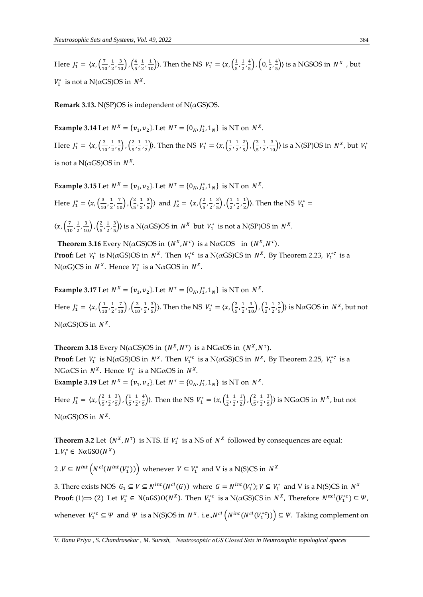Here  $J_1^* = \langle x, \left(\frac{7}{10}\right)$  $\frac{7}{10}$ ,  $\frac{1}{2}$  $\frac{1}{2}, \frac{3}{10}$ ,  $\left(\frac{4}{5}\right)$  $\frac{4}{5}$ ,  $\frac{1}{2}$  $(\frac{1}{2}, \frac{1}{10})$ ). Then the NS  $V_1^* = \langle x, (\frac{1}{5}) \rangle$  $\frac{1}{5}, \frac{1}{2}$  $\frac{1}{2}$ ,  $\frac{4}{5}$  $\frac{4}{5}$ ,  $\left(0, \frac{1}{2}\right)$  $\frac{1}{2}$ ,  $\frac{4}{5}$  $\frac{4}{5}$ ) is a NGSOS in  $N^X$ , but  $V_1^*$  is not a N( $\alpha$ GS)OS in  $N^X$ .

**Remark 3.13.** N(SP)OS is independent of N( $\alpha$ GS)OS.

**Example 3.14** Let  $N^X = \{v_1, v_2\}$ . Let  $N^{\tau} = \{0_N, J_1^*, 1_N\}$  is NT on  $N^X$ .

Here  $J_1^* = \langle x, \left(\frac{3}{10}\right) \rangle$  $\frac{3}{10}, \frac{1}{2}$  $\frac{1}{2}, \frac{3}{5}$  $\frac{3}{5}$ ,  $\left(\frac{2}{5}\right)$  $\frac{2}{5}, \frac{1}{2}$  $\frac{1}{2}$ ,  $\frac{1}{2}$  $\left(\frac{1}{2}\right)$ ). Then the NS  $V_1^* = \langle x, \left(\frac{1}{2}\right) \rangle$  $\frac{1}{2}$ ,  $\frac{1}{2}$  $\frac{1}{2}$ ,  $\frac{2}{5}$  $\frac{2}{5}$ ),  $\left(\frac{3}{5}\right)$  $\frac{3}{5}, \frac{1}{2}$  $\left(\frac{1}{2}, \frac{3}{10}\right)$  is a N(SP)OS in  $N^X$ , but  $V_1^*$ is not a  $N(\alpha$ GS)OS in  $N^X$ .

**Example 3.15** Let  $N^X = \{v_1, v_2\}$ . Let  $N^{\tau} = \{0_N, J_1^*, 1_N\}$  is NT on  $N^X$ .

Here  $J_1^* = \langle x, \frac{3}{10} \rangle$  $\frac{3}{10}, \frac{1}{2}$  $\frac{1}{2}, \frac{7}{10}$ ,  $\left(\frac{2}{5}\right)$  $\frac{2}{5}, \frac{1}{2}$  $\frac{1}{2}$ ,  $\frac{3}{5}$  $\left(\frac{3}{5}\right)$  and  $J_2^* = \langle x, \left(\frac{2}{5}\right)$  $\frac{2}{5}$ ,  $\frac{1}{2}$  $\frac{1}{2}$ ,  $\frac{3}{5}$  $\frac{3}{5}$ ,  $\left(\frac{1}{2}\right)$  $\frac{1}{2}$ ,  $\frac{1}{2}$  $\frac{1}{2}, \frac{1}{2}$  $\frac{1}{2}$ ). Then the NS  $V_1^* =$ 

 $\langle x, \left( \frac{7}{10} \right)$  $\frac{7}{10}$ ,  $\frac{1}{2}$  $\frac{1}{2}, \frac{3}{10}$ ,  $\left(\frac{2}{5}\right)$  $\frac{2}{5}, \frac{1}{2}$  $\frac{1}{2}$ ,  $\frac{3}{5}$  $\frac{3}{5}$ ) is a N( $\alpha$ GS)OS in  $N^X$  but  $V_1^*$  is not a N(SP)OS in  $N^X$ .

**Theorem 3.16** Every N( $\alpha$ GS)OS in  $(N^X, N^{\tau})$  is a N $\alpha$ GOS in  $(N^X, N^{\tau})$ . **Proof:** Let  $V_1^*$  is N( $\alpha$ GS)OS in  $N^X$ . Then  $V_1^{*c}$  is a N( $\alpha$ GS)CS in  $N^X$ , By Theorem 2.23,  $V_1^{*c}$  is a N( $\alpha$ G)CS in  $N^X$ . Hence  $V_1^*$  is a N $\alpha$ GOS in  $N^X$ .

**Example 3.17** Let  $N^X = \{v_1, v_2\}$ . Let  $N^{\tau} = \{0_N, J_1^*, 1_N\}$  is NT on  $N^X$ . Here  $J_1^* = \langle x, \left( \frac{1}{10} \right) \rangle$  $\frac{1}{10}$ ,  $\frac{1}{2}$  $\frac{1}{2}, \frac{7}{10}$ ,  $\left(\frac{3}{10}\right)$  $\frac{3}{10}, \frac{1}{2}$  $\frac{1}{2}$ ,  $\frac{3}{5}$  $\left(\frac{3}{5}\right)$ ). Then the NS  $V_1^* = \langle x, \left(\frac{3}{5}\right) \rangle$  $\frac{3}{5}, \frac{1}{2}$  $\left(\frac{1}{2},\frac{3}{10}\right), \left(\frac{1}{2}\right)$  $\frac{1}{2}$ ,  $\frac{1}{2}$  $\frac{1}{2}$ ,  $\frac{2}{5}$  $\frac{2}{5}$ ) is N $\alpha$ GOS in  $N^X$ , but not  $N(\alpha G S)$ OS in  $N^X$ .

**Theorem 3.18** Every N( $\alpha$ GS)OS in  $(N^X, N^{\tau})$  is a NG $\alpha$ OS in  $(N^X, N^{\tau})$ . **Proof:** Let  $V_1^*$  is N( $\alpha$ GS)OS in  $N^X$ . Then  $V_1^{*c}$  is a N( $\alpha$ GS)CS in  $N^X$ , By Theorem 2.25,  $V_1^{*c}$  is a NG $\alpha$ CS in  $N^X$ . Hence  $V_1^*$  is a NG $\alpha$ OS in  $N^X$ . **Example 3.19** Let  $N^X = \{v_1, v_2\}$ . Let  $N^{\tau} = \{0_N, J_1^*, 1_N\}$  is NT on  $N^X$ .

Here  $J_1^* = \langle x, \left(\frac{2}{5}\right) \rangle$  $\frac{2}{5}, \frac{1}{2}$  $\frac{1}{2}$ ,  $\frac{3}{5}$  $\frac{3}{5}$ ),  $\left(\frac{1}{5}\right)$  $\frac{1}{5}, \frac{1}{2}$  $\frac{1}{2}, \frac{4}{5}$  $\left(\frac{4}{5}\right)$ ). Then the NS  $V_1^* = \langle x, \left(\frac{1}{2}\right) \rangle$  $\frac{1}{2}$ ,  $\frac{1}{2}$  $\frac{1}{2}, \frac{1}{2}$  $\frac{1}{2}$ ),  $\left(\frac{2}{5}\right)$  $\frac{2}{5}$ ,  $\frac{1}{2}$  $\frac{1}{2}$ ,  $\frac{3}{5}$  $\left(\frac{3}{5}\right)$ ) is NG $\alpha$ OS in  $N^X$ , but not  $N(\alpha G S)$ OS in  $N^X$ .

**Theorem 3.2** Let  $(N^X, N^{\tau})$  is NTS. If  $V_1^*$  is a NS of  $N^X$  followed by consequences are equal:  $1. V_1^* \in N \alpha$ GSO $(N^X)$ 

2 . $V \subseteq N^{int}\left(N^{cl}(N^{int}(V_1^*))\right)$  whenever  $V \subseteq V_1^*$  and V is a N(S)CS in  $N^X$ 

3. There exists NOS  $G_1 \subseteq V \subseteq N^{int}(N^{cl}(G))$  where  $G = N^{int}(V_1^*)$ ;  $V \subseteq V_1^*$  and V is a N(S)CS in  $N^X$ **Proof:** (1)  $\Rightarrow$  (2) Let  $V_1^* \in N(\alpha G S)O(N^X)$ . Then  $V_1^{*c}$  is a  $N(\alpha GS)CS$  in  $N^X$ , Therefore  $N^{\alpha cl}(V_1^{*c}) \subseteq \Psi$ , whenever  $V_1^{*c} \subseteq \Psi$  and  $\Psi$  is a N(S)OS in  $N^X$ . i.e.,  $N^{cl}(N^{int}(N^{cl}(V_1^{*c}))) \subseteq \Psi$ . Taking complement on

*V. Banu Priya , S. Chandrasekar , M. Suresh, Neutrosophic αGS Closed Sets in Neutrosophic topological spaces*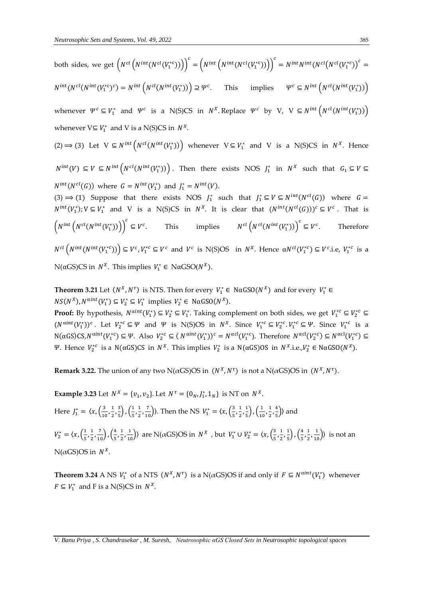both sides, we get 
$$
\left(N^{cl}(N^{int}(N^{cl}(V_1^{*c})))\right)^c = \left(N^{int}(N^{cl}(N^{cl}(V_1^{*c})))\right)^c = N^{int}N^{int}(N^{cl}(N^{cl}(V_1^{*c}))^c =
$$
  
\n $N^{int}(N^{cl}(N^{int}(V_1^{*c})^c) = N^{int}\left(N^{cl}(N^{int}(V_1^{*}))\right) \supseteq \Psi^c$ . This implies  $\Psi^c \subseteq N^{int}\left(N^{cl}(N^{int}(V_1^{*}))\right)$   
\nwhenever  $\Psi^c \subseteq V_1^*$  and  $\Psi^c$  is a N(S)CS in  $N^X$ . Replace  $\Psi^c$  by V, V  $\subseteq N^{int}\left(N^{cl}(N^{int}(V_1^*))\right)$   
\nwhenever  $V \subseteq V_1^*$  and V is a N(S)CS in  $N^X$ .  
\n(2)  $\Rightarrow$  (3) Let V  $\subseteq N^{int}\left(N^{cl}(N^{int}(V_1^*))\right)$  whenever V  $\subseteq V_1^*$  and V is a N(S)CS in  $N^X$ . Hence  
\n $N^{int}(V) \subseteq V \subseteq N^{int}\left(N^{cl}(N^{int}(V_1^*))\right)$ . Then there exists NOS  $J_1^*$  in  $N^X$  such that  $G_1 \subseteq V \subseteq$   
\n $N^{int}(N^{cl}(G))$  where  $G = N^{int}(V_1^*)$  and  $J_1^* = N^{int}(V)$ .  
\n(3)  $\Rightarrow$  (1) Suppose that there exists NOS  $J_1^*$  such that  $J_1^* \subseteq V \subseteq N^{int}(N^{cl}(G))$  where  $G =$   
\n $N^{int}(V_1^*)$ ;  $V \subseteq V_1^*$  and V is a N(S)CS in  $N^X$ . It is clear that  $(N^{int}(N^{cl}(G)))^c \subseteq V^c$ . That is  
\n $\left(N^{int}\left(N^{int}(V_1^{*c}))\right)\right)^c \subseteq V^c$ . This implies  $N^{cl}\left(N^{cl}(N^{int}(V_1^*))\right)^c \subseteq V^c$ . Therefore  
\n $N^{cl}\left(N^{int}(N^{int}(V_1^{*c}))\right) \subseteq V^c, V_1^*c \$ 

**Theorem 3.21** Let  $(N^X, N^{\tau})$  is NTS. Then for every  $V_1^* \in N\alpha$ GSO $(N^X)$  and for every  $V_1^* \in$  $NS(N^X), N^{\alpha int}(V_1^*) \subseteq V_2^* \subseteq V_1^*$  implies  $V_2^* \in N\alpha GSO(N^X).$ 

**Proof:** By hypothesis,  $N^{\text{aint}}(V_1^*) \subseteq V_2^* \subseteq V_1^*$ . Taking complement on both sides, we get  $V_1^{*c} \subseteq V_2^{*c} \subseteq V_2^*$  $(N^{\alpha int}(V_1^*))^c$ . Let  $V_2^{*c} \subseteq \Psi$  and  $\Psi$  is N(S)OS in  $N^X$ . Since  $V_1^{*c} \subseteq V_2^{*c}$ .  $V_1^{*c} \subseteq \Psi$ . Since  $V_1^{*c}$  is a  $N(\alpha GS)CS, N^{\alpha int}(V_1^{*c}) \subseteq \Psi$ . Also  $V_2^{*c} \subseteq (N^{\alpha int}(V_1^*))^c = N^{\alpha cl}(V_1^{*c})$ . Therefore  $N^{\alpha cl}(V_2^{*c}) \subseteq N^{\alpha cl}(V_1^{*c}) \subseteq$ Ψ. Hence  $V_2^{*c}$  is a N(αGS)CS in  $N^X$ . This implies  $V_2^*$  is a N(αGS)OS in  $N^X$ .i.e., $V_2^* \in \text{NaGSO}(N^X)$ .

**Remark 3.22.** The union of any two N( $\alpha$ GS)OS in  $(N^X, N^{\tau})$  is not a N( $\alpha$ GS)OS in  $(N^X, N^{\tau})$ .

**Example 3.23** Let  $N^X = \{v_1, v_2\}$ . Let  $N^{\tau} = \{0_N, J_1^*, 1_N\}$  is NT on  $N^X$ . Here  $J_1^* = \langle x, \left(\frac{3}{10}\right) \rangle$  $\frac{3}{10}, \frac{1}{2}$  $\frac{1}{2}, \frac{3}{5}$  $\frac{3}{5}$ ,  $\left(\frac{1}{5}\right)$  $\frac{1}{5}, \frac{1}{2}$  $(\frac{1}{2}, \frac{7}{10})$ ). Then the NS  $V_1^* = \langle x, (\frac{3}{5}) \rangle$  $\frac{3}{5}, \frac{1}{2}$  $\frac{1}{2}, \frac{1}{5}$  $\frac{1}{5}$ ,  $\left(\frac{1}{10}\right)$  $\frac{1}{10}$ ,  $\frac{1}{2}$  $\frac{1}{2}, \frac{4}{5}$  $\frac{4}{5}$ ) and  $V_2^* = \langle x, \left(\frac{1}{5}\right) \rangle$  $\frac{1}{5}, \frac{1}{2}$  $\frac{1}{2}, \frac{7}{10}$ ,  $\left(\frac{4}{5}\right)$  $\frac{4}{5}$ ,  $\frac{1}{2}$  $(\frac{1}{2}, \frac{1}{10})$  are N(αGS)OS in *N<sup>x</sup>*, but *V*<sub>1</sub><sup>\*</sup> ∪ *V*<sub>2</sub><sup>\*</sup> =  $\langle x, (\frac{3}{5}, \frac{1}{10})^2 \rangle$  $\frac{3}{5}, \frac{1}{2}$  $\frac{1}{2}$ ,  $\frac{1}{5}$  $\frac{1}{5}$ ),  $\left(\frac{4}{5}\right)$  $\frac{4}{5}, \frac{1}{2}$  $\left(\frac{1}{2},\frac{1}{10}\right)$  is not an  $N(\alpha G S)$ OS in  $N^X$ .

**Theorem 3.24** A NS  $V_1^*$  of a NTS  $(N^X, N^{\tau})$  is a N( $\alpha$ GS)OS if and only if  $F \subseteq N^{\alpha int}(V_1^*)$  whenever  $F \subseteq V_1^*$  and F is a N(S)CS in  $N^X$ .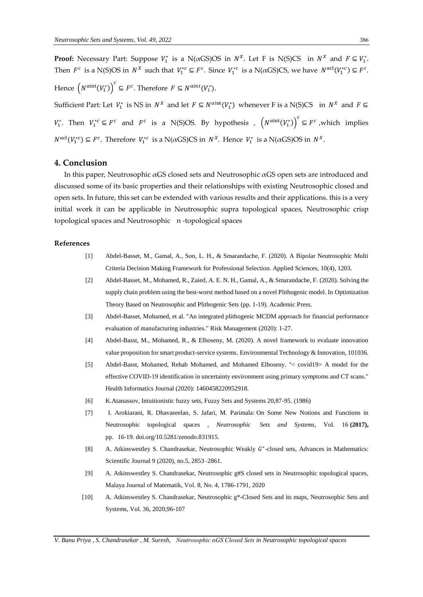**Proof:** Necessary Part: Suppose  $V_1^*$  is a N( $\alpha$ GS)OS in  $N^X$ . Let F is N(S)CS in  $N^X$  and  $F \subseteq V_1^*$ . Then  $F^c$  is a N(S)OS in  $N^X$  such that  $V_1^{*c} \subseteq F^c$ . Since  $V_1^{*c}$  is a N( $\alpha$ GS)CS, we have  $N^{\alpha cl}(V_1^{*c}) \subseteq F^c$ . Hence  $(N^{\text{aint}}(V_1^*))^c \subseteq F^c$ . Therefore  $F \subseteq N^{\text{aint}}(V_1^*)$ . Sufficient Part: Let  $V_1^*$  is NS in  $N^X$  and let  $F \subseteq N^{\text{aint}}(V_1^*)$  whenever F is a N(S)CS in  $N^X$  and  $F \subseteq$  $V_1^*$ . Then  $V_1^{*c} \subseteq F^c$  and  $F^c$  is a N(S)OS. By hypothesis ,  $(N^{\text{aint}}(V_1^*))^c \subseteq F^c$  , which implies  $N^{\alpha cl}(V_1^{*c}) \subseteq F^c$ . Therefore  $V_1^{*c}$  is a N( $\alpha$ GS)CS in  $N^X$ . Hence  $V_1^*$  is a N( $\alpha$ GS)OS in  $N^X$ .

#### **4. Conclusion**

In this paper, Neutrosophic αGS closed sets and Neutrosophic αGS open sets are introduced and discussed some of its basic properties and their relationships with existing Neutrosophic closed and open sets. In future, this set can be extended with various results and their applications. this is a very initial work it can be applicable in Neutrosophic supra topological spaces, Neutrosophic crisp topological spaces and Neutrosophic n -topological spaces

#### **References**

- [1] Abdel-Basset, M., Gamal, A., Son, L. H., & Smarandache, F. (2020). A Bipolar Neutrosophic Multi Criteria Decision Making Framework for Professional Selection. Applied Sciences, 10(4), 1203.
- [2] Abdel-Basset, M., Mohamed, R., Zaied, A. E. N. H., Gamal, A., & Smarandache, F. (2020). Solving the supply chain problem using the best-worst method based on a novel Plithogenic model. In Optimization Theory Based on Neutrosophic and Plithogenic Sets (pp. 1-19). Academic Press.
- [3] Abdel-Basset, Mohamed, et al. "An integrated plithogenic MCDM approach for financial performance evaluation of manufacturing industries." Risk Management (2020): 1-27.
- [4] Abdel-Basst, M., Mohamed, R., & Elhoseny, M. (2020). A novel framework to evaluate innovation value proposition for smart product-service systems. Environmental Technology & Innovation, 101036.
- [5] Abdel-Basst, Mohamed, Rehab Mohamed, and Mohamed Elhoseny. "< covid19> A model for the effective COVID-19 identification in uncertainty environment using primary symptoms and CT scans." Health Informatics Journal (2020): 1460458220952918.
- [6] K.Atanassov, Intuitionistic fuzzy sets, Fuzzy Sets and Systems 20,87-95. (1986)
- [7] I. Arokiarani, R. Dhavaseelan, S. Jafari, M. Parimala: [On Some New Notions and Functions in](http://fs.unm.edu/NSS/OnSomeNewNotionsAndFunctionsInNeutrosophic.pdf)  [Neutrosophic topological spaces ,](http://fs.unm.edu/NSS/OnSomeNewNotionsAndFunctionsInNeutrosophic.pdf) *Neutrosophic Sets and Systems*, Vol. 16 **(2017),** pp. 16-19. [doi.org/10.5281/zenodo.831915.](https://doi.org/10.5281/zenodo.831915)
- [8] A. Atkinswestley S. Chandrasekar, Neutrosophic Weakly  $G^*$ -closed sets, Advances in Mathematics: Scientific Journal 9 (2020), no.5, 2853–2861.
- [9] A. Atkinswestley S. Chandrasekar, Neutrosophic g#S closed sets in Neutrosophic topological spaces, Malaya Journal of Matematik, Vol. 8, No. 4, 1786-1791, 2020
- [10] A. Atkinswestley S. Chandrasekar, Neutrosophic g\*-Closed Sets and its maps, Neutrosophic Sets and Systems, Vol. 36, 2020,96-107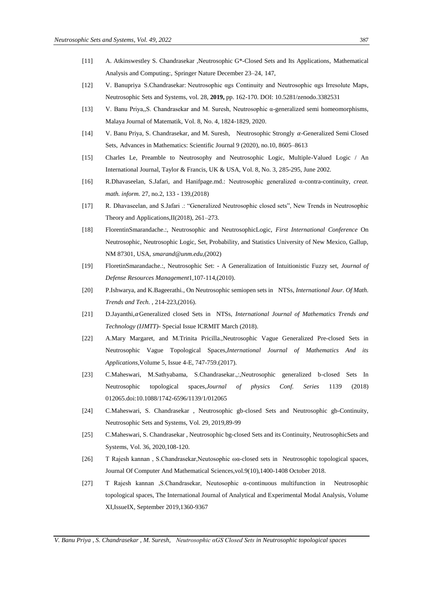- [11] A. Atkinswestley S. Chandrasekar [,Neutrosophic G\\*-Closed Sets and Its Applications,](https://link.springer.com/content/pdf/10.1007/978-981-33-4646-8.pdf#page=154) Mathematical Analysis and Computing:, Springer Nature December 23–24, 147,
- [12] V. Banupriya S.Chandrasekar: [Neutrosophic αgs Continuity and Neutrosophic αgs Irresolute Maps,](http://fs.unm.edu/NSS/NeutrosophicContinuity.pdf)  Neutrosophic Sets and Systems, vol. 28, **2019,** pp. 162-170. DOI: [10.5281/zenodo.3382531](https://zenodo.org/record/3382531#.XWpDA3uxXIU)
- [13] V. Banu Priya,,S. Chandrasekar and M. Suresh, Neutrosophic α-generalized semi homeomorphisms, Malaya Journal of Matematik, Vol. 8, No. 4, 1824-1829, 2020.
- [14] V. Banu Priya, S. Chandrasekar, and M. Suresh, Neutrosophic Strongly  $\alpha$ -Generalized Semi Closed Sets, Advances in Mathematics: Scientific Journal 9 (2020), no.10, 8605–8613
- [15] Charles Le, Preamble to Neutrosophy and Neutrosophic Logic, Multiple-Valued Logic / An International Journal, Taylor & Francis, UK & USA, Vol. 8, No. 3, 285-295, June 2002.
- [16] R.Dhavaseelan, S.Jafari, and Hanifpage.md.: Neutrosophic generalized α-contra-continuity, *creat. math. inform.* 27, no.2, 133 - 139,(2018)
- [17] R. Dhavaseelan, and S.Jafari .: "Generalized Neutrosophic closed sets", New Trends in Neutrosophic Theory and Applications,II(2018), 261–273.
- [18] FlorentinSmarandache.:, Neutrosophic and NeutrosophicLogic, *First International Conference* On Neutrosophic, Neutrosophic Logic, Set, Probability, and Statistics University of New Mexico, Gallup, NM 87301, USA, *smarand@unm.edu*,(2002)
- [19] FloretinSmarandache.:, Neutrosophic Set: A Generalization of Intuitionistic Fuzzy set, *Journal of Defense Resources Management*1,107-114,(2010).
- [20] P.Ishwarya, and K.Bageerathi., On Neutrosophic semiopen sets in NTSs, *International Jour. Of Math. Trends and Tech.* , 214-223,(2016).
- [21] D.Jayanthi, αGeneralized closed Sets in NTSs, *International Journal of Mathematics Trends and Technology (IJMTT)*- Special Issue ICRMIT March (2018).
- [22] A.Mary Margaret, and M.Trinita Pricilla.,Neutrosophic Vague Generalized Pre-closed Sets in Neutrosophic Vague Topological Spaces,*International Journal of Mathematics And its Applications,*Volume 5, Issue 4-E, 747-759.(2017).
- [23] C.Maheswari, M.Sathyabama, S.Chandrasekar.,:,Neutrosophic generalized b-closed Sets In Neutrosophic topological spaces,*Journal of physics Conf. Series* 1139 (2018) 012065.doi:10.1088/1742-6596/1139/1/012065
- [24] C.Maheswari, S. Chandrasekar , Neutrosophic gb-closed Sets and Neutrosophic gb-Continuity, Neutrosophic Sets and Systems, Vol. 29, 2019,89-99
- [25] C.Maheswari, S. Chandrasekar , Neutrosophic bg-closed Sets and its Continuity, NeutrosophicSets and Systems, Vol. 36, 2020,108-120.
- [26] T Rajesh kannan , S.Chandrasekar,Neutosophic ωα-closed sets in Neutrosophic topological spaces, Journal Of Computer And Mathematical Sciences,vol.9(10),1400-1408 October 2018.
- [27] T Rajesh kannan ,S.Chandrasekar, Neutosophic α-continuous multifunction in Neutrosophic topological spaces, The International Journal of Analytical and Experimental Modal Analysis, Volume XI,IssueIX, September 2019,1360-9367